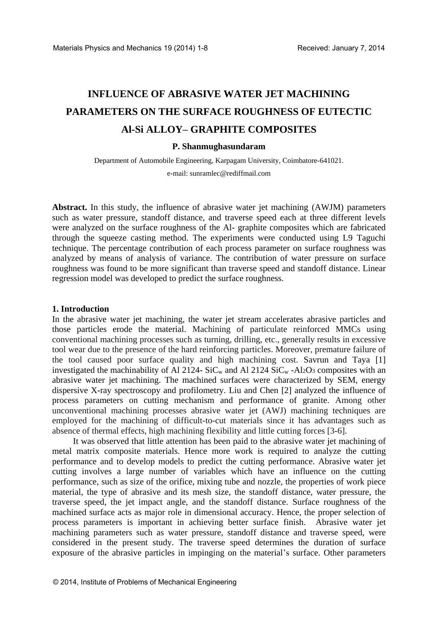# **INFLUENCE OF ABRASIVE WATER JET MACHINING PARAMETERS ON THE SURFACE ROUGHNESS OF EUTECTIC Al-Si ALLOY– GRAPHITE COMPOSITES**

#### **P. Shanmughasundaram**

Department of Automobile Engineering, Karpagam University, Coimbatore-641021. e-mail: [sunramlec@rediffmail.com](mailto:sunramlec@rediffmail.com)

**Abstract.** In this study, the influence of abrasive water jet machining (AWJM) parameters such as water pressure, standoff distance, and traverse speed each at three different levels were analyzed on the surface roughness of the Al- graphite composites which are fabricated through the squeeze casting method. The experiments were conducted using L9 Taguchi technique. The percentage contribution of each process parameter on surface roughness was analyzed by means of analysis of variance. The contribution of water pressure on surface roughness was found to be more significant than traverse speed and standoff distance. Linear regression model was developed to predict the surface roughness.

#### **1. Introduction**

In the abrasive water jet machining, the water jet stream accelerates abrasive particles and those particles erode the material. Machining of particulate reinforced MMCs using conventional machining processes such as turning, drilling, etc., generally results in excessive tool wear due to the presence of the hard reinforcing particles. Moreover, premature failure of the tool caused poor surface quality and high machining cost. Savrun and Taya [1] investigated the machinability of Al 2124-  $SiC_w$  and Al 2124  $SiC_w$ -Al<sub>2</sub>O<sub>3</sub> composites with an abrasive water jet machining. The machined surfaces were characterized by SEM, energy dispersive X-ray spectroscopy and profilometry. Liu and Chen [2] analyzed the influence of process parameters on cutting mechanism and performance of granite. Among other unconventional machining processes abrasive water jet (AWJ) machining techniques are employed for the machining of difficult-to-cut materials since it has advantages such as absence of thermal effects, high machining flexibility and little cutting forces [3-6].

It was observed that little attention has been paid to the abrasive water jet machining of metal matrix composite materials. Hence more work is required to analyze the cutting performance and to develop models to predict the cutting performance. Abrasive water jet cutting involves a large number of variables which have an influence on the cutting performance, such as size of the orifice, mixing tube and nozzle, the properties of work piece material, the type of abrasive and its mesh size, the standoff distance, water pressure, the traverse speed, the jet impact angle, and the standoff distance. Surface roughness of the machined surface acts as major role in dimensional accuracy. Hence, the proper selection of process parameters is important in achieving better surface finish. Abrasive water jet machining parameters such as water pressure, standoff distance and traverse speed, were considered in the present study. The traverse speed determines the duration of surface exposure of the abrasive particles in impinging on the material's surface. Other parameters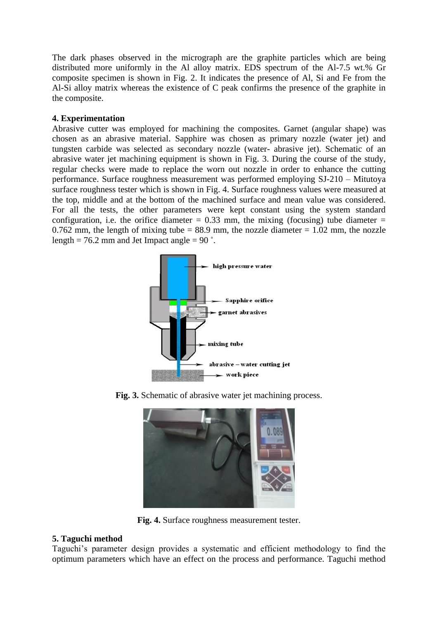The dark phases observed in the micrograph are the graphite particles which are being distributed more uniformly in the Al alloy matrix. EDS spectrum of the Al-7.5 wt.% Gr composite specimen is shown in Fig. 2. It indicates the presence of Al, Si and Fe from the Al-Si alloy matrix whereas the existence of C peak confirms the presence of the graphite in the composite.

# **4. Experimentation**

Abrasive cutter was employed for machining the composites. Garnet (angular shape) was chosen as an abrasive material. Sapphire was chosen as primary nozzle (water jet) and tungsten carbide was selected as secondary nozzle (water- abrasive jet). Schematic of an abrasive water jet machining equipment is shown in Fig. 3. During the course of the study, regular checks were made to replace the worn out nozzle in order to enhance the cutting performance. Surface roughness measurement was performed employing SJ-210 – Mitutoya surface roughness tester which is shown in Fig. 4. Surface roughness values were measured at the top, middle and at the bottom of the machined surface and mean value was considered. For all the tests, the other parameters were kept constant using the system standard configuration, i.e. the orifice diameter  $= 0.33$  mm, the mixing (focusing) tube diameter  $=$ 0.762 mm, the length of mixing tube  $= 88.9$  mm, the nozzle diameter  $= 1.02$  mm, the nozzle length = 76.2 mm and Jet Impact angle = 90 $\degree$ .



**Fig. 3.** Schematic of abrasive water jet machining process.



**Fig. 4.** Surface roughness measurement tester.

# **5. Taguchi method**

Taguchi's parameter design provides a systematic and efficient methodology to find the optimum parameters which have an effect on the process and performance. Taguchi method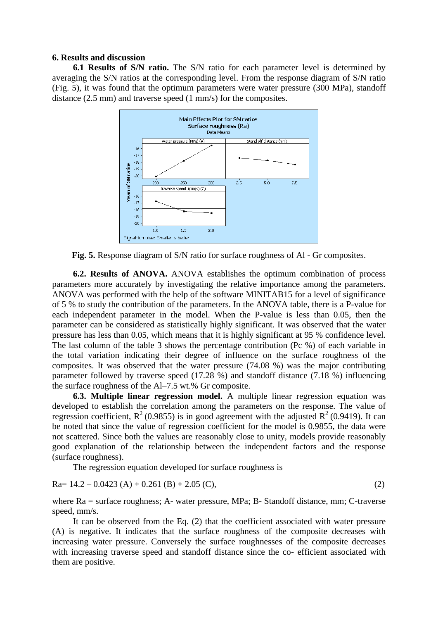## **6. Results and discussion**

**6.1 Results of S/N ratio.** The S/N ratio for each parameter level is determined by averaging the S/N ratios at the corresponding level. From the response diagram of S/N ratio (Fig. 5), it was found that the optimum parameters were water pressure (300 MPa), standoff distance (2.5 mm) and traverse speed (1 mm/s) for the composites.



**Fig. 5.** Response diagram of S/N ratio for surface roughness of Al - Gr composites.

**6.2. Results of ANOVA.** ANOVA establishes the optimum combination of process parameters more accurately by investigating the relative importance among the parameters. ANOVA was performed with the help of the software MINITAB15 for a level of significance of 5 % to study the contribution of the parameters. In the ANOVA table, there is a P-value for each independent parameter in the model. When the P-value is less than 0.05, then the parameter can be considered as statistically highly significant. It was observed that the water pressure has less than 0.05, which means that it is highly significant at 95 % confidence level. The last column of the table 3 shows the percentage contribution (Pc %) of each variable in the total variation indicating their degree of influence on the surface roughness of the composites. It was observed that the water pressure (74.08 %) was the major contributing parameter followed by traverse speed (17.28 %) and standoff distance (7.18 %) influencing the surface roughness of the Al–7.5 wt.% Gr composite.

**6.3. Multiple linear regression model.** A multiple linear regression equation was developed to establish the correlation among the parameters on the response. The value of regression coefficient,  $R^2$  (0.9855) is in good agreement with the adjusted  $R^2$  (0.9419). It can be noted that since the value of regression coefficient for the model is 0.9855, the data were not scattered. Since both the values are reasonably close to unity, models provide reasonably good explanation of the relationship between the independent factors and the response (surface roughness).

The regression equation developed for surface roughness is

$$
Ra = 14.2 - 0.0423 (A) + 0.261 (B) + 2.05 (C),
$$
\n(2)

where Ra = surface roughness; A- water pressure, MPa; B- Standoff distance, mm; C-traverse speed, mm/s.

It can be observed from the Eq. (2) that the coefficient associated with water pressure (A) is negative. It indicates that the surface roughness of the composite decreases with increasing water pressure. Conversely the surface roughnesses of the composite decreases with increasing traverse speed and standoff distance since the co- efficient associated with them are positive.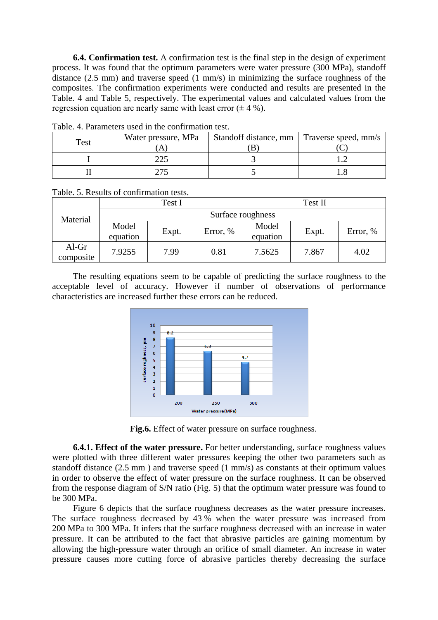**6.4. Confirmation test.** A confirmation test is the final step in the design of experiment process. It was found that the optimum parameters were water pressure (300 MPa), standoff distance (2.5 mm) and traverse speed (1 mm/s) in minimizing the surface roughness of the composites. The confirmation experiments were conducted and results are presented in the Table. 4 and Table 5, respectively. The experimental values and calculated values from the regression equation are nearly same with least error  $(\pm 4\% )$ .

| Test | Water pressure, MPa | Standoff distance, mm   Traverse speed, mm/s |  |
|------|---------------------|----------------------------------------------|--|
|      | 225                 |                                              |  |
|      |                     |                                              |  |

Table. 4. Parameters used in the confirmation test.

Table. 5. Results of confirmation tests.

| Material           | Test I            |       |          | Test II           |       |          |  |  |
|--------------------|-------------------|-------|----------|-------------------|-------|----------|--|--|
|                    | Surface roughness |       |          |                   |       |          |  |  |
|                    | Model<br>equation | Expt. | Error, % | Model<br>equation | Expt. | Error, % |  |  |
| Al-Gr<br>composite | 7.9255            | 7.99  | 0.81     | 7.5625            | 7.867 | 4.02     |  |  |

The resulting equations seem to be capable of predicting the surface roughness to the acceptable level of accuracy. However if number of observations of performance characteristics are increased further these errors can be reduced.



**Fig.6.** Effect of water pressure on surface roughness.

**6.4.1. Effect of the water pressure.** For better understanding, surface roughness values were plotted with three different water pressures keeping the other two parameters such as standoff distance (2.5 mm ) and traverse speed (1 mm/s) as constants at their optimum values in order to observe the effect of water pressure on the surface roughness. It can be observed from the response diagram of S/N ratio (Fig. 5) that the optimum water pressure was found to be 300 MPa.

Figure 6 depicts that the surface roughness decreases as the water pressure increases. The surface roughness decreased by 43 % when the water pressure was increased from 200 MPa to 300 MPa. It infers that the surface roughness decreased with an increase in water pressure. It can be attributed to the fact that abrasive particles are gaining momentum by allowing the high-pressure water through an orifice of small diameter. An increase in water pressure causes more cutting force of abrasive particles thereby decreasing the surface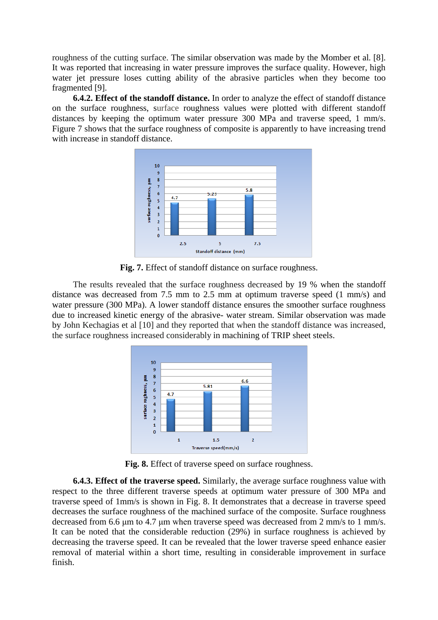roughness of the cutting surface. The similar observation was made by the Momber et al*.* [8]. It was reported that increasing in water pressure improves the surface quality. However, high water jet pressure loses cutting ability of the abrasive particles when they become too fragmented [9].

**6.4.2. Effect of the standoff distance.** In order to analyze the effect of standoff distance on the surface roughness, surface roughness values were plotted with different standoff distances by keeping the optimum water pressure 300 MPa and traverse speed, 1 mm/s. Figure 7 shows that the surface roughness of composite is apparently to have increasing trend with increase in standoff distance.



**Fig. 7.** Effect of standoff distance on surface roughness.

The results revealed that the surface roughness decreased by 19 % when the standoff distance was decreased from 7.5 mm to 2.5 mm at optimum traverse speed (1 mm/s) and water pressure (300 MPa). A lower standoff distance ensures the smoother surface roughness due to increased kinetic energy of the abrasive- water stream. Similar observation was made by John Kechagias et al [10] and they reported that when the standoff distance was increased, the surface roughness increased considerably in machining of TRIP sheet steels.



**Fig. 8.** Effect of traverse speed on surface roughness.

**6.4.3. Effect of the traverse speed.** Similarly, the average surface roughness value with respect to the three different traverse speeds at optimum water pressure of 300 MPa and traverse speed of 1mm/s is shown in Fig. 8. It demonstrates that a decrease in traverse speed decreases the surface roughness of the machined surface of the composite. Surface roughness decreased from 6.6 μm to 4.7 μm when traverse speed was decreased from 2 mm/s to 1 mm/s. It can be noted that the considerable reduction (29%) in surface roughness is achieved by decreasing the traverse speed. It can be revealed that the lower traverse speed enhance easier removal of material within a short time, resulting in considerable improvement in surface finish.